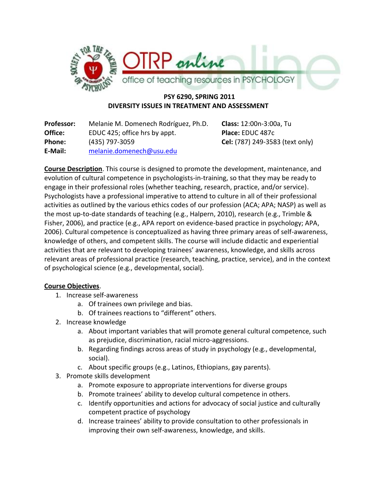

# **PSY 6290, SPRING 2011 DIVERSITY ISSUES IN TREATMENT AND ASSESSMENT**

| <b>Professor:</b> | Melanie M. Domenech Rodríguez, Ph.D. |
|-------------------|--------------------------------------|
| Office:           | EDUC 425; office hrs by appt.        |
| Phone:            | (435) 797-3059                       |
| E-Mail:           | melanie.domenech@usu.edu             |

**Class:** 12:00n-3:00a, Tu **Place:** EDUC 487c **Phone:** (435) 797-3059 **Cel:** (787) 249-3583 (text only)

**Course Description**. This course is designed to promote the development, maintenance, and evolution of cultural competence in psychologists-in-training, so that they may be ready to engage in their professional roles (whether teaching, research, practice, and/or service). Psychologists have a professional imperative to attend to culture in all of their professional activities as outlined by the various ethics codes of our profession (ACA; APA; NASP) as well as the most up-to-date standards of teaching (e.g., Halpern, 2010), research (e.g., Trimble & Fisher, 2006), and practice (e.g., APA report on evidence-based practice in psychology; APA, 2006). Cultural competence is conceptualized as having three primary areas of self-awareness, knowledge of others, and competent skills. The course will include didactic and experiential activities that are relevant to developing trainees' awareness, knowledge, and skills across relevant areas of professional practice (research, teaching, practice, service), and in the context of psychological science (e.g., developmental, social).

# **Course Objectives**.

- 1. Increase self-awareness
	- a. Of trainees own privilege and bias.
	- b. Of trainees reactions to "different" others.
- 2. Increase knowledge
	- a. About important variables that will promote general cultural competence, such as prejudice, discrimination, racial micro-aggressions.
	- b. Regarding findings across areas of study in psychology (e.g., developmental, social).
	- c. About specific groups (e.g., Latinos, Ethiopians, gay parents).
- 3. Promote skills development
	- a. Promote exposure to appropriate interventions for diverse groups
	- b. Promote trainees' ability to develop cultural competence in others.
	- c. Identify opportunities and actions for advocacy of social justice and culturally competent practice of psychology
	- d. Increase trainees' ability to provide consultation to other professionals in improving their own self-awareness, knowledge, and skills.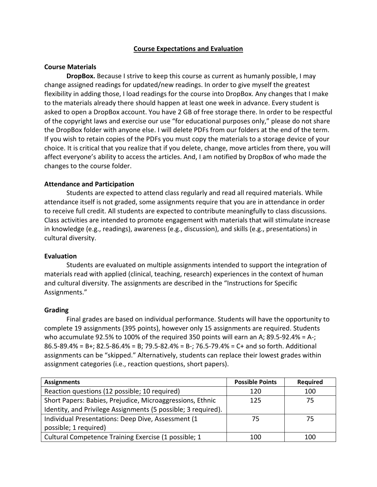### **Course Expectations and Evaluation**

#### **Course Materials**

**DropBox.** Because I strive to keep this course as current as humanly possible, I may change assigned readings for updated/new readings. In order to give myself the greatest flexibility in adding those, I load readings for the course into DropBox. Any changes that I make to the materials already there should happen at least one week in advance. Every student is asked to open a DropBox account. You have 2 GB of free storage there. In order to be respectful of the copyright laws and exercise our use "for educational purposes only," please do not share the DropBox folder with anyone else. I will delete PDFs from our folders at the end of the term. If you wish to retain copies of the PDFs you must copy the materials to a storage device of your choice. It is critical that you realize that if you delete, change, move articles from there, you will affect everyone's ability to access the articles. And, I am notified by DropBox of who made the changes to the course folder.

### **Attendance and Participation**

Students are expected to attend class regularly and read all required materials. While attendance itself is not graded, some assignments require that you are in attendance in order to receive full credit. All students are expected to contribute meaningfully to class discussions. Class activities are intended to promote engagement with materials that will stimulate increase in knowledge (e.g., readings), awareness (e.g., discussion), and skills (e.g., presentations) in cultural diversity.

#### **Evaluation**

Students are evaluated on multiple assignments intended to support the integration of materials read with applied (clinical, teaching, research) experiences in the context of human and cultural diversity. The assignments are described in the "Instructions for Specific Assignments."

#### **Grading**

Final grades are based on individual performance. Students will have the opportunity to complete 19 assignments (395 points), however only 15 assignments are required. Students who accumulate 92.5% to 100% of the required 350 points will earn an A; 89.5-92.4% = A-; 86.5-89.4% = B+; 82.5-86.4% = B; 79.5-82.4% = B-; 76.5-79.4% = C+ and so forth. Additional assignments can be "skipped." Alternatively, students can replace their lowest grades within assignment categories (i.e., reaction questions, short papers).

| <b>Assignments</b>                                            | <b>Possible Points</b> | <b>Required</b> |
|---------------------------------------------------------------|------------------------|-----------------|
| Reaction questions (12 possible; 10 required)                 | 120                    | 100             |
| Short Papers: Babies, Prejudice, Microaggressions, Ethnic     | 125                    | 75              |
| Identity, and Privilege Assignments (5 possible; 3 required). |                        |                 |
| Individual Presentations: Deep Dive, Assessment (1            | 75                     | 75              |
| possible; 1 required)                                         |                        |                 |
| Cultural Competence Training Exercise (1 possible; 1          | 100                    | 100             |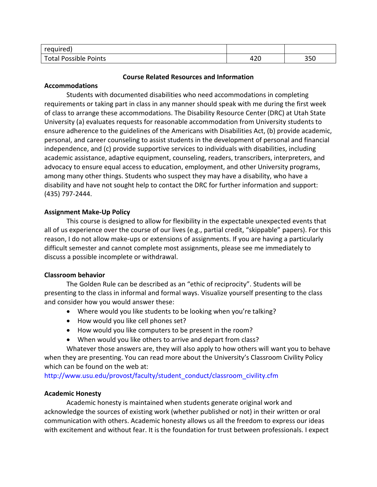| required         |      |     |
|------------------|------|-----|
| Total Possible r | ៱າດ  | 200 |
| Points           | 44 U | ວວບ |

### **Course Related Resources and Information**

# **Accommodations**

Students with documented disabilities who need accommodations in completing requirements or taking part in class in any manner should speak with me during the first week of class to arrange these accommodations. The Disability Resource Center (DRC) at Utah State University (a) evaluates requests for reasonable accommodation from University students to ensure adherence to the guidelines of the Americans with Disabilities Act, (b) provide academic, personal, and career counseling to assist students in the development of personal and financial independence, and (c) provide supportive services to individuals with disabilities, including academic assistance, adaptive equipment, counseling, readers, transcribers, interpreters, and advocacy to ensure equal access to education, employment, and other University programs, among many other things. Students who suspect they may have a disability, who have a disability and have not sought help to contact the DRC for further information and support: (435) 797-2444.

# **Assignment Make-Up Policy**

This course is designed to allow for flexibility in the expectable unexpected events that all of us experience over the course of our lives (e.g., partial credit, "skippable" papers). For this reason, I do not allow make-ups or extensions of assignments. If you are having a particularly difficult semester and cannot complete most assignments, please see me immediately to discuss a possible incomplete or withdrawal.

# **Classroom behavior**

The Golden Rule can be described as an "ethic of reciprocity". Students will be presenting to the class in informal and formal ways. Visualize yourself presenting to the class and consider how you would answer these:

- Where would you like students to be looking when you're talking?
- How would you like cell phones set?
- How would you like computers to be present in the room?
- When would you like others to arrive and depart from class?

Whatever those answers are, they will also apply to how others will want you to behave when they are presenting. You can read more about the University's Classroom Civility Policy which can be found on the web at:

[http://www.usu.edu/provost/faculty/student\\_conduct/classroom\\_civility.cfm](http://www.usu.edu/provost/faculty/student_conduct/classroom_civility.cfm)

# **Academic Honesty**

Academic honesty is maintained when students generate original work and acknowledge the sources of existing work (whether published or not) in their written or oral communication with others. Academic honesty allows us all the freedom to express our ideas with excitement and without fear. It is the foundation for trust between professionals. I expect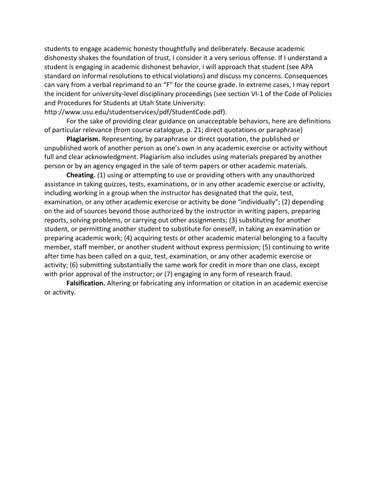students to engage academic honesty thoughtfully and deliberately. Because academic dishonesty shakes the foundation of trust, I consider it a very serious offense. If I understand a student is engaging in academic dishonest behavior, I will approach that student (see APA standard on informal resolutions to ethical violations) and discuss my concerns. Consequences can vary from a verbal reprimand to an "F" for the course grade. In extreme cases, I may report the incident for university-level disciplinary proceedings (see section VI-1 of the Code of Policies and Procedures for Students at Utah State University:

http://www.usu.edu/studentservices/pdf/StudentCode.pdf).

For the sake of providing clear guidance on unacceptable behaviors, here are definitions of particular relevance (from course catalogue, p. 21; direct quotations or paraphrase)

**Plagiarism.** Representing, by paraphrase or direct quotation, the published or unpublished work of another person as one's own in any academic exercise or activity without full and clear acknowledgment. Plagiarism also includes using materials prepared by another person or by an agency engaged in the sale of term papers or other academic materials.

**Cheating.** (1) using or attempting to use or providing others with any unauthorized assistance in taking quizzes, tests, examinations, or in any other academic exercise or activity, including working in a group when the instructor has designated that the quiz, test, examination, or any other academic exercise or activity be done "individually"; (2) depending on the aid of sources beyond those authorized by the instructor in writing papers, preparing reports, solving problems, or carrying out other assignments; (3) substituting for another student, or permitting another student to substitute for oneself, in taking an examination or preparing academic work; (4) acquiring tests or other academic material belonging to a faculty member, staff member, or another student without express permission; (5) continuing to write after time has been called on a quiz, test, examination, or any other academic exercise or activity; (6) submitting substantially the same work for credit in more than one class, except with prior approval of the instructor; or (7) engaging in any form of research fraud.

**Falsification.** Altering or fabricating any information or citation in an academic exercise or activity.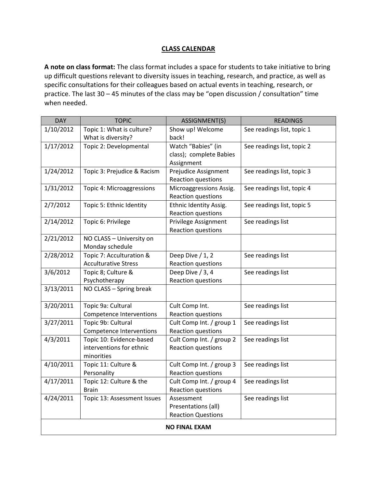### **CLASS CALENDAR**

**A note on class format:** The class format includes a space for students to take initiative to bring up difficult questions relevant to diversity issues in teaching, research, and practice, as well as specific consultations for their colleagues based on actual events in teaching, research, or practice. The last 30 – 45 minutes of the class may be "open discussion / consultation" time when needed.

| <b>DAY</b>           | <b>TOPIC</b>                                                       | ASSIGNMENT(S)                                                  | <b>READINGS</b>            |  |  |  |
|----------------------|--------------------------------------------------------------------|----------------------------------------------------------------|----------------------------|--|--|--|
| 1/10/2012            | Topic 1: What is culture?<br>What is diversity?                    | Show up! Welcome<br>back!                                      | See readings list, topic 1 |  |  |  |
| 1/17/2012            | Topic 2: Developmental                                             | Watch "Babies" (in<br>class); complete Babies<br>Assignment    | See readings list, topic 2 |  |  |  |
| 1/24/2012            | Topic 3: Prejudice & Racism                                        | Prejudice Assignment<br>Reaction questions                     | See readings list, topic 3 |  |  |  |
| 1/31/2012            | Topic 4: Microaggressions                                          | Microaggressions Assig.<br>Reaction questions                  | See readings list, topic 4 |  |  |  |
| 2/7/2012             | Topic 5: Ethnic Identity                                           | Ethnic Identity Assig.<br>Reaction questions                   | See readings list, topic 5 |  |  |  |
| 2/14/2012            | Topic 6: Privilege                                                 | Privilege Assignment<br>Reaction questions                     | See readings list          |  |  |  |
| 2/21/2012            | NO CLASS - University on<br>Monday schedule                        |                                                                |                            |  |  |  |
| 2/28/2012            | Topic 7: Acculturation &<br><b>Acculturative Stress</b>            | Deep Dive / 1, 2<br>Reaction questions                         | See readings list          |  |  |  |
| 3/6/2012             | Topic 8; Culture &<br>Psychotherapy                                | Deep Dive / 3, 4<br><b>Reaction questions</b>                  | See readings list          |  |  |  |
| 3/13/2011            | NO CLASS - Spring break                                            |                                                                |                            |  |  |  |
| 3/20/2011            | Topic 9a: Cultural<br><b>Competence Interventions</b>              | Cult Comp Int.<br>Reaction questions                           | See readings list          |  |  |  |
| 3/27/2011            | Topic 9b: Cultural<br><b>Competence Interventions</b>              | Cult Comp Int. / group 1<br>Reaction questions                 | See readings list          |  |  |  |
| 4/3/2011             | Topic 10: Evidence-based<br>interventions for ethnic<br>minorities | Cult Comp Int. / group 2<br>Reaction questions                 | See readings list          |  |  |  |
| 4/10/2011            | Topic 11: Culture &<br>Personality                                 | Cult Comp Int. / group 3<br>Reaction questions                 | See readings list          |  |  |  |
| 4/17/2011            | Topic 12: Culture & the<br><b>Brain</b>                            | Cult Comp Int. / group 4<br>Reaction questions                 | See readings list          |  |  |  |
| 4/24/2011            | Topic 13: Assessment Issues                                        | Assessment<br>Presentations (all)<br><b>Reaction Questions</b> | See readings list          |  |  |  |
| <b>NO FINAL EXAM</b> |                                                                    |                                                                |                            |  |  |  |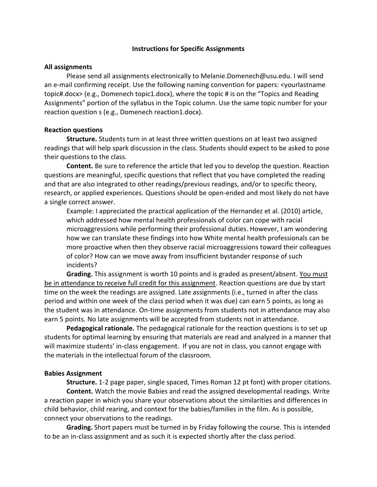#### **Instructions for Specific Assignments**

### **All assignments**

Please send all assignments electronically to Melanie.Domenech@usu.edu. I will send an e-mail confirming receipt. Use the following naming convention for papers: <yourlastname topic#.docx> (e.g., Domenech topic1.docx), where the topic # is on the "Topics and Reading Assignments" portion of the syllabus in the Topic column. Use the same topic number for your reaction question s (e.g., Domenech reaction1.docx).

# **Reaction questions**

**Structure.** Students turn in at least three written questions on at least two assigned readings that will help spark discussion in the class. Students should expect to be asked to pose their questions to the class.

**Content.** Be sure to reference the article that led you to develop the question. Reaction questions are meaningful, specific questions that reflect that you have completed the reading and that are also integrated to other readings/previous readings, and/or to specific theory, research, or applied experiences. Questions should be open-ended and most likely do not have a single correct answer.

Example: I appreciated the practical application of the Hernandez et al. (2010) article, which addressed how mental health professionals of color can cope with racial microaggressions while performing their professional duties. However, I am wondering how we can translate these findings into how White mental health professionals can be more proactive when then they observe racial microaggressions toward their colleagues of color? How can we move away from insufficient bystander response of such incidents?

**Grading.** This assignment is worth 10 points and is graded as present/absent. You must be in attendance to receive full credit for this assignment. Reaction questions are due by start time on the week the readings are assigned. Late assignments (i.e., turned in after the class period and within one week of the class period when it was due) can earn 5 points, as long as the student was in attendance. On-time assignments from students not in attendance may also earn 5 points. No late assignments will be accepted from students not in attendance.

**Pedagogical rationale.** The pedagogical rationale for the reaction questions is to set up students for optimal learning by ensuring that materials are read and analyzed in a manner that will maximize students' in-class engagement. If you are not in class, you cannot engage with the materials in the intellectual forum of the classroom.

# **Babies Assignment**

**Structure.** 1-2 page paper, single spaced, Times Roman 12 pt font) with proper citations. **Content.** Watch the movie Babies and read the assigned developmental readings. Write a reaction paper in which you share your observations about the similarities and differences in child behavior, child rearing, and context for the babies/families in the film. As is possible, connect your observations to the readings.

**Grading.** Short papers must be turned in by Friday following the course. This is intended to be an in-class assignment and as such it is expected shortly after the class period.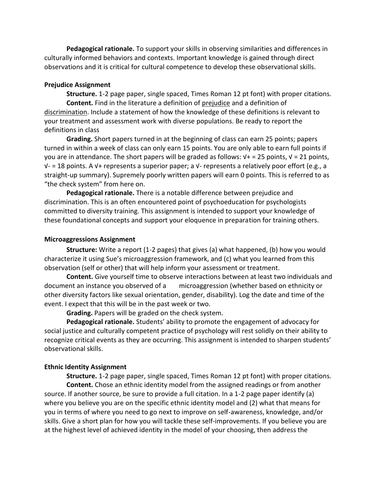**Pedagogical rationale.** To support your skills in observing similarities and differences in culturally informed behaviors and contexts. Important knowledge is gained through direct observations and it is critical for cultural competence to develop these observational skills.

### **Prejudice Assignment**

**Structure.** 1-2 page paper, single spaced, Times Roman 12 pt font) with proper citations. **Content.** Find in the literature a definition of prejudice and a definition of discrimination. Include a statement of how the knowledge of these definitions is relevant to your treatment and assessment work with diverse populations. Be ready to report the definitions in class

**Grading.** Short papers turned in at the beginning of class can earn 25 points; papers turned in within a week of class can only earn 15 points. You are only able to earn full points if you are in attendance. The short papers will be graded as follows:  $V+ = 25$  points,  $V = 21$  points, √- = 18 points. A √+ represents a superior paper; a √- represents a relatively poor effort (e.g., a straight-up summary). Supremely poorly written papers will earn 0 points. This is referred to as "the check system" from here on.

**Pedagogical rationale.** There is a notable difference between prejudice and discrimination. This is an often encountered point of psychoeducation for psychologists committed to diversity training. This assignment is intended to support your knowledge of these foundational concepts and support your eloquence in preparation for training others.

### **Microaggressions Assignment**

**Structure:** Write a report (1-2 pages) that gives (a) what happened, (b) how you would characterize it using Sue's microaggression framework, and (c) what you learned from this observation (self or other) that will help inform your assessment or treatment.

**Content.** Give yourself time to observe interactions between at least two individuals and document an instance you observed of a microaggression (whether based on ethnicity or other diversity factors like sexual orientation, gender, disability). Log the date and time of the event. I expect that this will be in the past week or two.

**Grading.** Papers will be graded on the check system.

**Pedagogical rationale.** Students' ability to promote the engagement of advocacy for social justice and culturally competent practice of psychology will rest solidly on their ability to recognize critical events as they are occurring. This assignment is intended to sharpen students' observational skills.

# **Ethnic Identity Assignment**

**Structure.** 1-2 page paper, single spaced, Times Roman 12 pt font) with proper citations. **Content.** Chose an ethnic identity model from the assigned readings or from another source. If another source, be sure to provide a full citation. In a 1-2 page paper identify (a) where you believe you are on the specific ethnic identity model and (2) what that means for you in terms of where you need to go next to improve on self-awareness, knowledge, and/or skills. Give a short plan for how you will tackle these self-improvements. If you believe you are at the highest level of achieved identity in the model of your choosing, then address the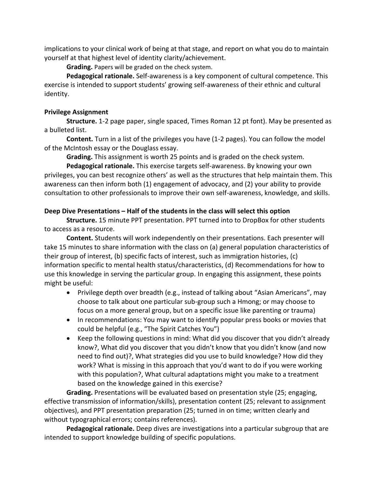implications to your clinical work of being at that stage, and report on what you do to maintain yourself at that highest level of identity clarity/achievement.

**Grading.** Papers will be graded on the check system.

**Pedagogical rationale.** Self-awareness is a key component of cultural competence. This exercise is intended to support students' growing self-awareness of their ethnic and cultural identity.

# **Privilege Assignment**

**Structure.** 1-2 page paper, single spaced, Times Roman 12 pt font). May be presented as a bulleted list.

**Content.** Turn in a list of the privileges you have (1-2 pages). You can follow the model of the McIntosh essay or the Douglass essay.

**Grading.** This assignment is worth 25 points and is graded on the check system.

**Pedagogical rationale.** This exercise targets self-awareness. By knowing your own privileges, you can best recognize others' as well as the structures that help maintain them. This awareness can then inform both (1) engagement of advocacy, and (2) your ability to provide consultation to other professionals to improve their own self-awareness, knowledge, and skills.

# **Deep Dive Presentations – Half of the students in the class will select this option**

**Structure.** 15 minute PPT presentation. PPT turned into to DropBox for other students to access as a resource.

**Content.** Students will work independently on their presentations. Each presenter will take 15 minutes to share information with the class on (a) general population characteristics of their group of interest, (b) specific facts of interest, such as immigration histories, (c) information specific to mental health status/characteristics, (d) Recommendations for how to use this knowledge in serving the particular group. In engaging this assignment, these points might be useful:

- Privilege depth over breadth (e.g., instead of talking about "Asian Americans", may choose to talk about one particular sub-group such a Hmong; or may choose to focus on a more general group, but on a specific issue like parenting or trauma)
- In recommendations: You may want to identify popular press books or movies that could be helpful (e.g., "The Spirit Catches You")
- Keep the following questions in mind: What did you discover that you didn't already know?, What did you discover that you didn't know that you didn't know (and now need to find out)?, What strategies did you use to build knowledge? How did they work? What is missing in this approach that you'd want to do if you were working with this population?, What cultural adaptations might you make to a treatment based on the knowledge gained in this exercise?

**Grading.** Presentations will be evaluated based on presentation style (25; engaging, effective transmission of information/skills), presentation content (25; relevant to assignment objectives), and PPT presentation preparation (25; turned in on time; written clearly and without typographical errors; contains references).

**Pedagogical rationale.** Deep dives are investigations into a particular subgroup that are intended to support knowledge building of specific populations.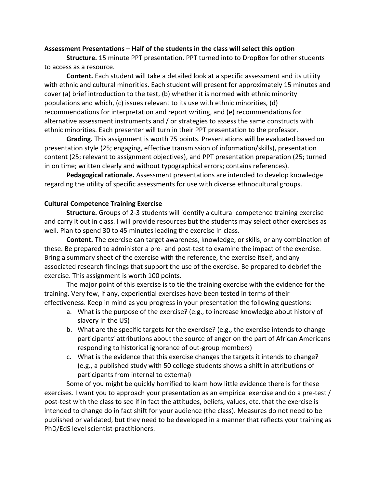### **Assessment Presentations – Half of the students in the class will select this option**

**Structure.** 15 minute PPT presentation. PPT turned into to DropBox for other students to access as a resource.

**Content.** Each student will take a detailed look at a specific assessment and its utility with ethnic and cultural minorities. Each student will present for approximately 15 minutes and cover (a) brief introduction to the test, (b) whether it is normed with ethnic minority populations and which, (c) issues relevant to its use with ethnic minorities, (d) recommendations for interpretation and report writing, and (e) recommendations for alternative assessment instruments and / or strategies to assess the same constructs with ethnic minorities. Each presenter will turn in their PPT presentation to the professor.

**Grading.** This assignment is worth 75 points. Presentations will be evaluated based on presentation style (25; engaging, effective transmission of information/skills), presentation content (25; relevant to assignment objectives), and PPT presentation preparation (25; turned in on time; written clearly and without typographical errors; contains references).

**Pedagogical rationale.** Assessment presentations are intended to develop knowledge regarding the utility of specific assessments for use with diverse ethnocultural groups.

# **Cultural Competence Training Exercise**

**Structure.** Groups of 2-3 students will identify a cultural competence training exercise and carry it out in class. I will provide resources but the students may select other exercises as well. Plan to spend 30 to 45 minutes leading the exercise in class.

**Content.** The exercise can target awareness, knowledge, or skills, or any combination of these. Be prepared to administer a pre- and post-test to examine the impact of the exercise. Bring a summary sheet of the exercise with the reference, the exercise itself, and any associated research findings that support the use of the exercise. Be prepared to debrief the exercise. This assignment is worth 100 points.

The major point of this exercise is to tie the training exercise with the evidence for the training. Very few, if any, experiential exercises have been tested in terms of their effectiveness. Keep in mind as you progress in your presentation the following questions:

- a. What is the purpose of the exercise? (e.g., to increase knowledge about history of slavery in the US)
- b. What are the specific targets for the exercise? (e.g., the exercise intends to change participants' attributions about the source of anger on the part of African Americans responding to historical ignorance of out-group members)
- c. What is the evidence that this exercise changes the targets it intends to change? (e.g., a published study with 50 college students shows a shift in attributions of participants from internal to external)

Some of you might be quickly horrified to learn how little evidence there is for these exercises. I want you to approach your presentation as an empirical exercise and do a pre-test / post-test with the class to see if in fact the attitudes, beliefs, values, etc. that the exercise is intended to change do in fact shift for your audience (the class). Measures do not need to be published or validated, but they need to be developed in a manner that reflects your training as PhD/EdS level scientist-practitioners.